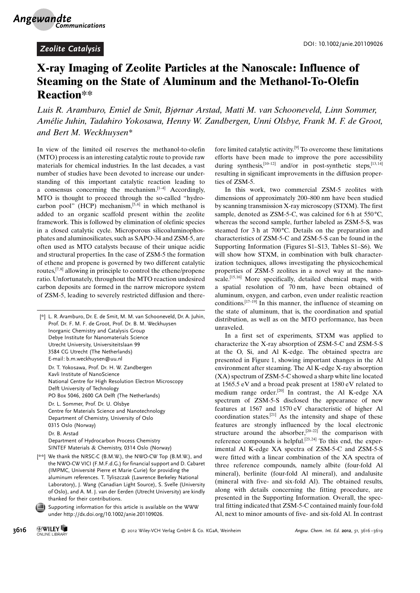## X-ray Imaging of Zeolite Particles at the Nanoscale: Influence of Steaming on the State of Aluminum and the Methanol-To-Olefin Reaction\*\*

Luis R. Aramburo, Emiel de Smit, Bjørnar Arstad, Matti M. van Schooneveld, Linn Sommer, Amélie Juhin, Tadahiro Yokosawa, Henny W. Zandbergen, Unni Olsbye, Frank M. F. de Groot, and Bert M. Weckhuysen\*

In view of the limited oil reserves the methanol-to-olefin (MTO) process is an interesting catalytic route to provide raw materials for chemical industries. In the last decades, a vast number of studies have been devoted to increase our understanding of this important catalytic reaction leading to a consensus concerning the mechanism. $[1-4]$  Accordingly, MTO is thought to proceed through the so-called "hydrocarbon pool"  $(HCP)$  mechanism,<sup>[5,6]</sup> in which methanol is added to an organic scaffold present within the zeolite framework. This is followed by elimination of olefinic species in a closed catalytic cycle. Microporous silicoaluminophosphates and aluminosilicates, such as SAPO-34 and ZSM-5, are often used as MTO catalysts because of their unique acidic and structural properties. In the case of ZSM-5 the formation of ethene and propene is governed by two different catalytic routes,  $[7,8]$  allowing in principle to control the ethene/propene ratio. Unfortunately, throughout the MTO reaction undesired carbon deposits are formed in the narrow micropore system of ZSM-5, leading to severely restricted diffusion and there-

| [*] L. R. Aramburo, Dr. E. de Smit, M. M. van Schooneveld, Dr. A. Juhin,<br>Prof. Dr. F. M. F. de Groot, Prof. Dr. B. M. Weckhuysen<br>Inorganic Chemistry and Catalysis Group<br>Debye Institute for Nanomaterials Science<br>Utrecht University, Universiteitslaan 99<br>3584 CG Utrecht (The Netherlands)<br>E-mail: b.m.weckhuysen@uu.nl                                                                          |
|-----------------------------------------------------------------------------------------------------------------------------------------------------------------------------------------------------------------------------------------------------------------------------------------------------------------------------------------------------------------------------------------------------------------------|
| Dr. T. Yokosawa, Prof. Dr. H. W. Zandbergen<br>Kayli Institute of NanoScience<br>National Centre for High Resolution Electron Microscopy<br>Delft University of Technology<br>PO Box 5046, 2600 GA Delft (The Netherlands)                                                                                                                                                                                            |
| Dr. L. Sommer, Prof. Dr. U. Olsbye<br>Centre for Materials Science and Nanotechnology<br>Department of Chemistry, University of Oslo<br>0315 Oslo (Norway)                                                                                                                                                                                                                                                            |
| Dr. B. Arstad<br>Department of Hydrocarbon Process Chemistry<br>SINTEF Materials & Chemistry, 0314 Oslo (Norway)                                                                                                                                                                                                                                                                                                      |
| [**] We thank the NRSC-C (B.M.W.), the NWO-CW Top (B.M.W.), and<br>the NWO-CW VICI (F.M.F.d.G.) for financial support and D. Cabaret<br>(IMPMC, Université Pierre et Marie Curie) for providing the<br>aluminum references. T. Tyliszczak (Lawrence Berkeley National<br>Laboratory), J. Wang (Canadian Light Source), S. Svelle (University<br>of Oslo), and A. M. J. van der Eerden (Utrecht University) are kindly |

Supporting information for this article is available on the WWW under<http://dx.doi.org/10.1002/anie.201109026>.

thanked for their contributions.

fore limited catalytic activity.[9] To overcome these limitations efforts have been made to improve the pore accessibility during synthesis,<sup>[10–12]</sup> and/or in post-synthetic steps,<sup>[13,14]</sup> resulting in significant improvements in the diffusion properties of ZSM-5.

In this work, two commercial ZSM-5 zeolites with dimensions of approximately 200–800 nm have been studied by scanning transmission X-ray microscopy (STXM). The first sample, denoted as ZSM-5-C, was calcined for 6 h at  $550^{\circ}$ C, whereas the second sample, further labeled as ZSM-5-S, was steamed for 3 h at  $700^{\circ}$ C. Details on the preparation and characteristics of ZSM-5-C and ZSM-5-S can be found in the Supporting Information (Figures S1–S13, Tables S1–S6). We will show how STXM, in combination with bulk characterization techniques, allows investigating the physicochemical properties of ZSM-5 zeolites in a novel way at the nanoscale.<sup>[15,16]</sup> More specifically, detailed chemical maps, with a spatial resolution of 70 nm, have been obtained of aluminum, oxygen, and carbon, even under realistic reaction conditions.[17–19] In this manner, the influence of steaming on the state of aluminum, that is, the coordination and spatial distribution, as well as on the MTO performance, has been unraveled.

In a first set of experiments, STXM was applied to characterize the X-ray absorption of ZSM-5-C and ZSM-5-S at the O, Si, and Al K-edge. The obtained spectra are presented in Figure 1, showing important changes in the Al environment after steaming. The Al K-edge X-ray absorption (XA) spectrum of ZSM-5-C showed a sharp white line located at 1565.5 eV and a broad peak present at 1580 eV related to medium range order.<sup>[20]</sup> In contrast, the Al K-edge XA spectrum of ZSM-5-S disclosed the appearance of new features at 1567 and 1570 eV characteristic of higher Al coordination states.[21] As the intensity and shape of these features are strongly influenced by the local electronic structure around the absorber,<sup>[20–22]</sup> the comparison with reference compounds is helpful.<sup>[23, 24]</sup> To this end, the experimental Al K-edge XA spectra of ZSM-5-C and ZSM-5-S were fitted with a linear combination of the XA spectra of three reference compounds, namely albite (four-fold Al mineral), berlinite (four-fold Al mineral), and andalusite (mineral with five- and six-fold Al). The obtained results, along with details concerning the fitting procedure, are presented in the Supporting Information. Overall, the spectral fitting indicated that ZSM-5-C contained mainly four-fold Al, next to minor amounts of five- and six-fold Al. In contrast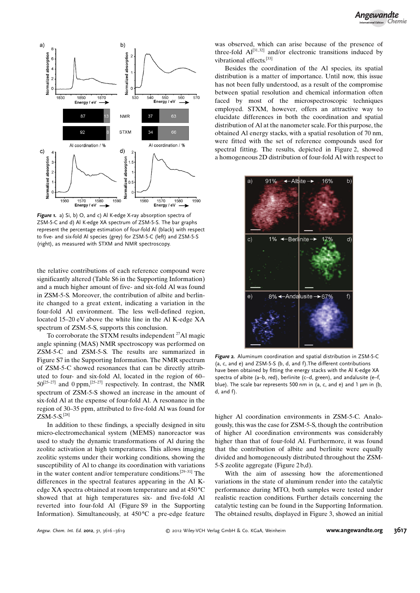

Figure 1. a) Si, b) O, and c) Al K-edge X-ray absorption spectra of ZSM-5-C and d) Al K-edge XA spectrum of ZSM-5-S. The bar graphs represent the percentage estimation of four-fold Al (black) with respect to five- and six-fold Al species (grey) for ZSM-5-C (left) and ZSM-5-S (right), as measured with STXM and NMR spectroscopy.

the relative contributions of each reference compound were significantly altered (Table S6 in the Supporting Information) and a much higher amount of five- and six-fold Al was found in ZSM-5-S. Moreover, the contribution of albite and berlinite changed to a great extent, indicating a variation in the four-fold Al environment. The less well-defined region, located 15–20 eV above the white line in the Al K-edge XA spectrum of ZSM-5-S, supports this conclusion.

To corroborate the STXM results independent  $^{27}$ Al magic angle spinning (MAS) NMR spectroscopy was performed on ZSM-5-C and ZSM-5-S. The results are summarized in Figure S7 in the Supporting Information. The NMR spectrum of ZSM-5-C showed resonances that can be directly attributed to four- and six-fold Al, located in the region of 60–  $50^{[25-27]}$  and 0 ppm,  $[25-27]$  respectively. In contrast, the NMR spectrum of ZSM-5-S showed an increase in the amount of six-fold Al at the expense of four-fold Al. A resonance in the region of 30–35 ppm, attributed to five-fold Al was found for ZSM-5-S.[28]

In addition to these findings, a specially designed in situ micro-electromechanical system (MEMS) nanoreactor was used to study the dynamic transformations of Al during the zeolite activation at high temperatures. This allows imaging zeolitic systems under their working conditions, showing the susceptibility of Al to change its coordination with variations in the water content and/or temperature conditions.[29–31] The differences in the spectral features appearing in the Al Kedge XA spectra obtained at room temperature and at  $450^{\circ}$ C showed that at high temperatures six- and five-fold Al reverted into four-fold Al (Figure S9 in the Supporting Information). Simultaneously, at  $450^{\circ}$ C a pre-edge feature was observed, which can arise because of the presence of three-fold  $Al^{[31,32]}$  and/or electronic transitions induced by vibrational effects.[33]

Besides the coordination of the Al species, its spatial distribution is a matter of importance. Until now, this issue has not been fully understood, as a result of the compromise between spatial resolution and chemical information often faced by most of the microspectroscopic techniques employed. STXM, however, offers an attractive way to elucidate differences in both the coordination and spatial distribution of Al at the nanometer scale. For this purpose, the obtained Al energy stacks, with a spatial resolution of 70 nm, were fitted with the set of reference compounds used for spectral fitting. The results, depicted in Figure 2, showed a homogeneous 2D distribution of four-fold Al with respect to



Figure 2. Aluminum coordination and spatial distribution in ZSM-5-C (a, c, and e) and ZSM-5-S (b, d, and f).The different contributions have been obtained by fitting the energy stacks with the Al K-edge XA spectra of albite (a–b, red), berlinite (c–d, green), and andalusite (e–f, blue). The scale bar represents 500 nm in (a, c, and e) and 1  $\mu$ m in (b, d, and f).

higher Al coordination environments in ZSM-5-C. Analogously, this was the case for ZSM-5-S, though the contribution of higher Al coordination environments was considerably higher than that of four-fold Al. Furthermore, it was found that the contribution of albite and berlinite were equally divided and homogeneously distributed throughout the ZSM-5-S zeolite aggregate (Figure 2 b,d).

With the aim of assessing how the aforementioned variations in the state of aluminum render into the catalytic performance during MTO, both samples were tested under realistic reaction conditions. Further details concerning the catalytic testing can be found in the Supporting Information. The obtained results, displayed in Figure 3, showed an initial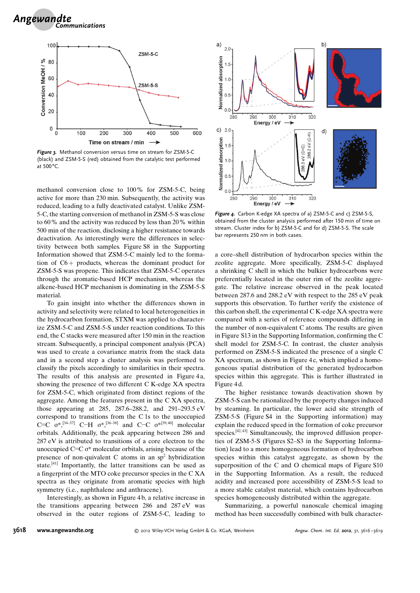

Figure 3. Methanol conversion versus time on stream for ZSM-5-C (black) and ZSM-5-S (red) obtained from the catalytic test performed at  $500^{\circ}$ C.

methanol conversion close to 100% for ZSM-5-C, being active for more than 230 min. Subsequently, the activity was reduced, leading to a fully deactivated catalyst. Unlike ZSM-5-C, the starting conversion of methanol in ZSM-5-S was close to 60% and the activity was reduced by less than 20% within 500 min of the reaction, disclosing a higher resistance towards deactivation. As interestingly were the differences in selectivity between both samples. Figure S8 in the Supporting Information showed that ZSM-5-C mainly led to the formation of  $C6$  + products, whereas the dominant product for ZSM-5-S was propene. This indicates that ZSM-5-C operates through the aromatic-based HCP mechanism, whereas the alkene-based HCP mechanism is dominating in the ZSM-5-S material.

To gain insight into whether the differences shown in activity and selectivity were related to local heterogeneities in the hydrocarbon formation, STXM was applied to characterize ZSM-5-C and ZSM-5-S under reaction conditions. To this end, the C stacks were measured after 150 min in the reaction stream. Subsequently, a principal component analysis (PCA) was used to create a covariance matrix from the stack data and in a second step a cluster analysis was performed to classify the pixels accordingly to similarities in their spectra. The results of this analysis are presented in Figure 4a, showing the presence of two different C K-edge XA spectra for ZSM-5-C, which originated from distinct regions of the aggregate. Among the features present in the C XA spectra, those appearing at 285, 287.6–288.2, and 291–293.5 eV correspond to transitions from the C 1s to the unoccupied C=C  $\sigma^{*,[34-37]}$  C-H  $\sigma^{*,[36-38]}$  and C-C  $\sigma^{*[39,40]}$  molecular orbitals. Additionally, the peak appearing between 286 and 287 eV is attributed to transitions of a core electron to the unoccupied C=C  $\sigma^*$  molecular orbitals, arising because of the presence of non-quivalent C atoms in an  $sp<sup>2</sup>$  hybridization state.[41] Importantly, the latter transitions can be used as a fingerprint of the MTO coke precursor species in the C XA spectra as they originate from aromatic species with high symmetry (i.e., naphthalene and anthracene).

Interestingly, as shown in Figure 4 b, a relative increase in the transitions appearing between 286 and 287 eV was observed in the outer regions of ZSM-5-C, leading to



Figure 4. Carbon K-edge XA spectra of a) ZSM-5-C and c) ZSM-5-S, obtained from the cluster analysis performed after 150 min of time on stream. Cluster index for b) ZSM-5-C and for d) ZSM-5-S. The scale bar represents 250 nm in both cases.

a core–shell distribution of hydrocarbon species within the zeolite aggregate. More specifically, ZSM-5-C displayed a shrinking C shell in which the bulkier hydrocarbons were preferentially located in the outer rim of the zeolite aggregate. The relative increase observed in the peak located between 287.6 and 288.2 eV with respect to the 285 eV peak supports this observation. To further verify the existence of this carbon shell, the experimental C K-edge XA spectra were compared with a series of reference compounds differing in the number of non-equivalent C atoms. The results are given in Figure S13 in the Supporting Information, confirming the C shell model for ZSM-5-C. In contrast, the cluster analysis performed on ZSM-5-S indicated the presence of a single C XA spectrum, as shown in Figure 4 c, which implied a homogeneous spatial distribution of the generated hydrocarbon species within this aggregate. This is further illustrated in Figure 4 d.

The higher resistance towards deactivation shown by ZSM-5-S can be rationalized by the property changes induced by steaming. In particular, the lower acid site strength of ZSM-5-S (Figure S4 in the Supporting information) may explain the reduced speed in the formation of coke precursor species. $[42, 43]$  Simultaneously, the improved diffusion properties of ZSM-5-S (Figures S2–S3 in the Supporting Information) lead to a more homogeneous formation of hydrocarbon species within this catalyst aggregate, as shown by the superposition of the C and O chemical maps of Figure S10 in the Supporting Information. As a result, the reduced acidity and increased pore accessibility of ZSM-5-S lead to a more stable catalyst material, which contains hydrocarbon species homogeneously distributed within the aggregate.

Summarizing, a powerful nanoscale chemical imaging method has been successfully combined with bulk character